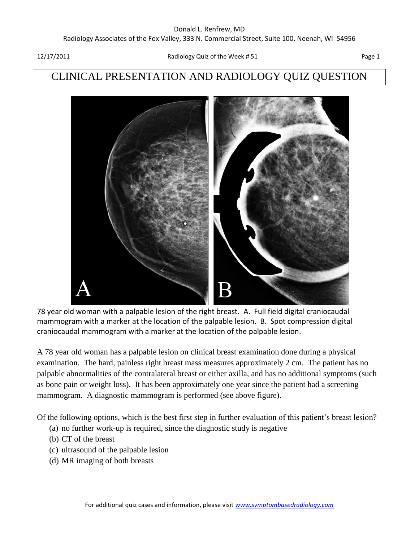## CLINICAL PRESENTATION AND RADIOLOGY QUIZ QUESTION



78 year old woman with a palpable lesion of the right breast. A. Full field digital craniocaudal mammogram with a marker at the location of the palpable lesion. B. Spot compression digital craniocaudal mammogram with a marker at the location of the palpable lesion.

A 78 year old woman has a palpable lesion on clinical breast examination done during a physical examination. The hard, painless right breast mass measures approximately 2 cm. The patient has no palpable abnormalities of the contralateral breast or either axilla, and has no additional symptoms (such as bone pain or weight loss). It has been approximately one year since the patient had a screening mammogram. A diagnostic mammogram is performed (see above figure).

Of the following options, which is the best first step in further evaluation of this patient's breast lesion?

- (a) no further work-up is required, since the diagnostic study is negative
- (b) CT of the breast
- (c) ultrasound of the palpable lesion
- (d) MR imaging of both breasts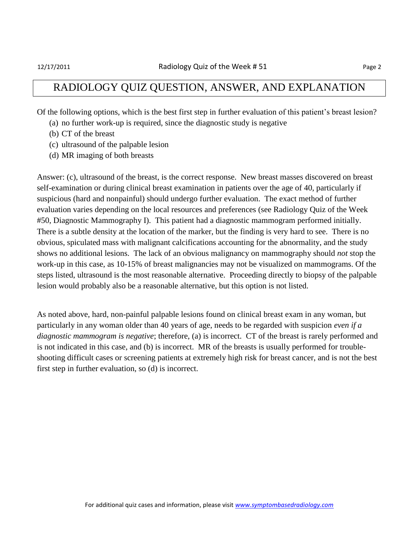#### RADIOLOGY QUIZ QUESTION, ANSWER, AND EXPLANATION

Of the following options, which is the best first step in further evaluation of this patient's breast lesion?

- (a) no further work-up is required, since the diagnostic study is negative
- (b) CT of the breast
- (c) ultrasound of the palpable lesion
- (d) MR imaging of both breasts

Answer: (c), ultrasound of the breast, is the correct response. New breast masses discovered on breast self-examination or during clinical breast examination in patients over the age of 40, particularly if suspicious (hard and nonpainful) should undergo further evaluation. The exact method of further evaluation varies depending on the local resources and preferences (see Radiology Quiz of the Week #50, Diagnostic Mammography I). This patient had a diagnostic mammogram performed initially. There is a subtle density at the location of the marker, but the finding is very hard to see. There is no obvious, spiculated mass with malignant calcifications accounting for the abnormality, and the study shows no additional lesions. The lack of an obvious malignancy on mammography should *not* stop the work-up in this case, as 10-15% of breast malignancies may not be visualized on mammograms. Of the steps listed, ultrasound is the most reasonable alternative. Proceeding directly to biopsy of the palpable lesion would probably also be a reasonable alternative, but this option is not listed.

As noted above, hard, non-painful palpable lesions found on clinical breast exam in any woman, but particularly in any woman older than 40 years of age, needs to be regarded with suspicion *even if a diagnostic mammogram is negative*; therefore, (a) is incorrect. CT of the breast is rarely performed and is not indicated in this case, and (b) is incorrect. MR of the breasts is usually performed for troubleshooting difficult cases or screening patients at extremely high risk for breast cancer, and is not the best first step in further evaluation, so (d) is incorrect.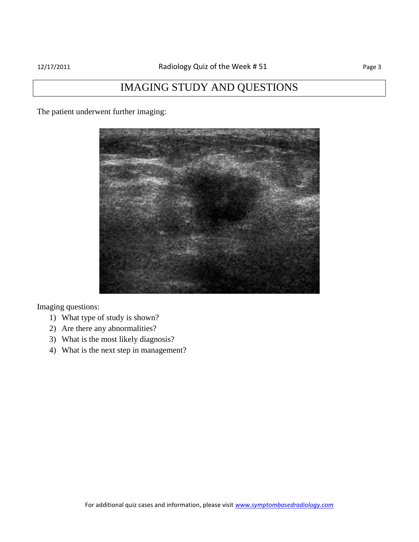### IMAGING STUDY AND QUESTIONS

The patient underwent further imaging:



Imaging questions:

- 1) What type of study is shown?
- 2) Are there any abnormalities?
- 3) What is the most likely diagnosis?
- 4) What is the next step in management?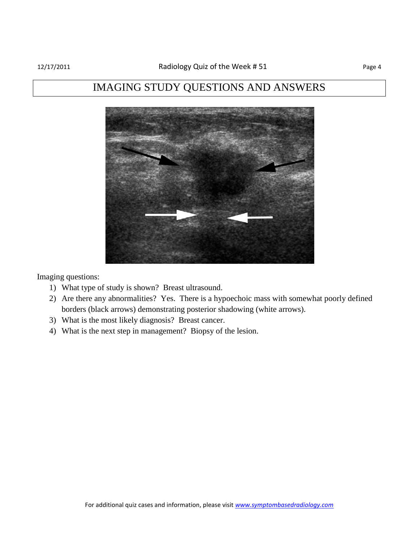## IMAGING STUDY QUESTIONS AND ANSWERS



Imaging questions:

- 1) What type of study is shown? Breast ultrasound.
- 2) Are there any abnormalities? Yes. There is a hypoechoic mass with somewhat poorly defined borders (black arrows) demonstrating posterior shadowing (white arrows).
- 3) What is the most likely diagnosis? Breast cancer.
- 4) What is the next step in management? Biopsy of the lesion.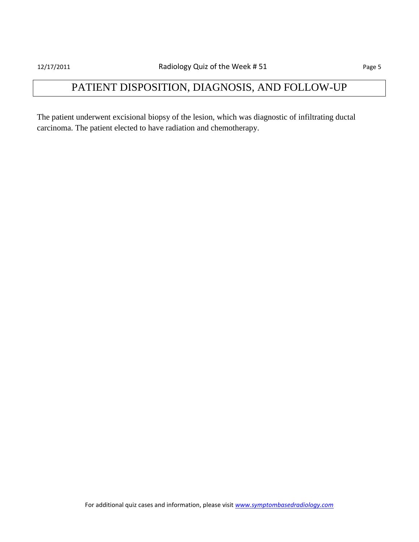# PATIENT DISPOSITION, DIAGNOSIS, AND FOLLOW-UP

The patient underwent excisional biopsy of the lesion, which was diagnostic of infiltrating ductal carcinoma. The patient elected to have radiation and chemotherapy.